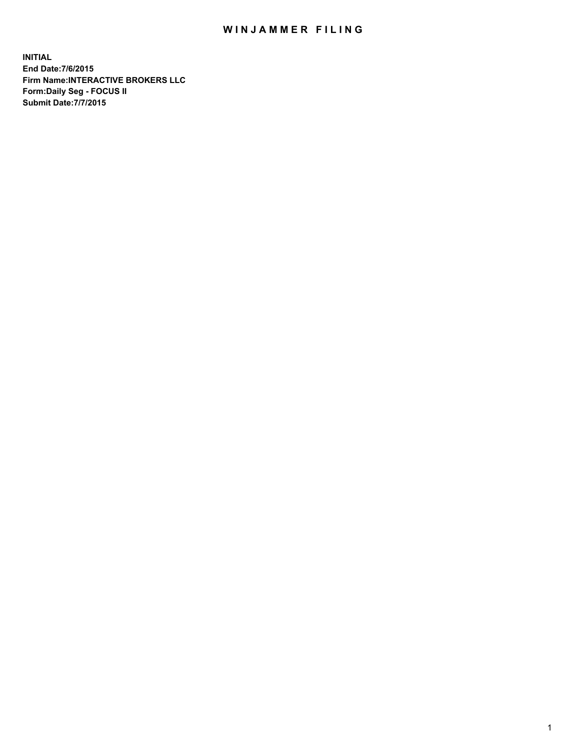## WIN JAMMER FILING

**INITIAL End Date:7/6/2015 Firm Name:INTERACTIVE BROKERS LLC Form:Daily Seg - FOCUS II Submit Date:7/7/2015**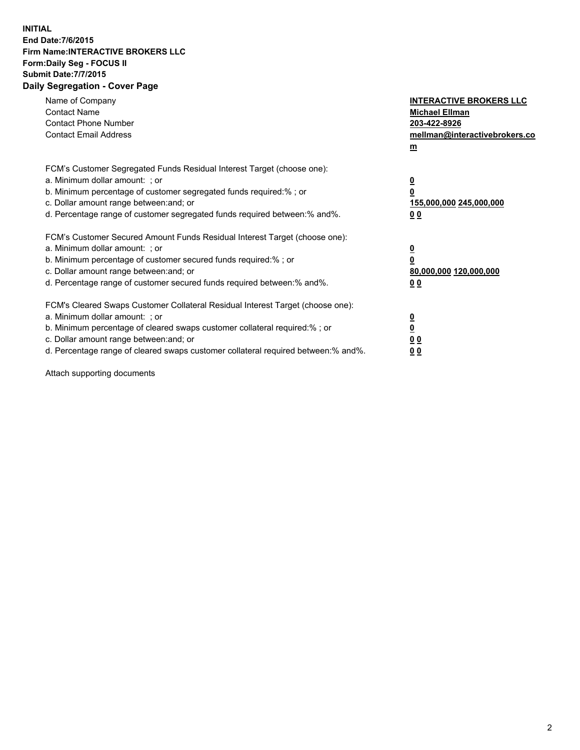## **INITIAL End Date:7/6/2015 Firm Name:INTERACTIVE BROKERS LLC Form:Daily Seg - FOCUS II Submit Date:7/7/2015 Daily Segregation - Cover Page**

| Name of Company<br><b>Contact Name</b><br><b>Contact Phone Number</b><br><b>Contact Email Address</b>                                                                                                                                                                                                                          | <b>INTERACTIVE BROKERS LLC</b><br><b>Michael Ellman</b><br>203-422-8926<br>mellman@interactivebrokers.co<br>$\mathbf{m}$ |  |
|--------------------------------------------------------------------------------------------------------------------------------------------------------------------------------------------------------------------------------------------------------------------------------------------------------------------------------|--------------------------------------------------------------------------------------------------------------------------|--|
| FCM's Customer Segregated Funds Residual Interest Target (choose one):<br>a. Minimum dollar amount: ; or<br>b. Minimum percentage of customer segregated funds required:% ; or<br>c. Dollar amount range between: and; or<br>d. Percentage range of customer segregated funds required between:% and%.                         | $\overline{\mathbf{0}}$<br>0<br><u>155,000,000 245,000,000</u><br>0 <sub>0</sub>                                         |  |
| FCM's Customer Secured Amount Funds Residual Interest Target (choose one):<br>a. Minimum dollar amount: ; or<br>b. Minimum percentage of customer secured funds required:%; or<br>c. Dollar amount range between: and; or<br>d. Percentage range of customer secured funds required between:% and%.                            | $\overline{\mathbf{0}}$<br>0<br>80,000,000 120,000,000<br>0 <sub>0</sub>                                                 |  |
| FCM's Cleared Swaps Customer Collateral Residual Interest Target (choose one):<br>a. Minimum dollar amount: ; or<br>b. Minimum percentage of cleared swaps customer collateral required:% ; or<br>c. Dollar amount range between: and; or<br>d. Percentage range of cleared swaps customer collateral required between:% and%. | $\overline{\mathbf{0}}$<br>$\overline{\mathbf{0}}$<br>0 <sub>0</sub><br>0 <sub>0</sub>                                   |  |

Attach supporting documents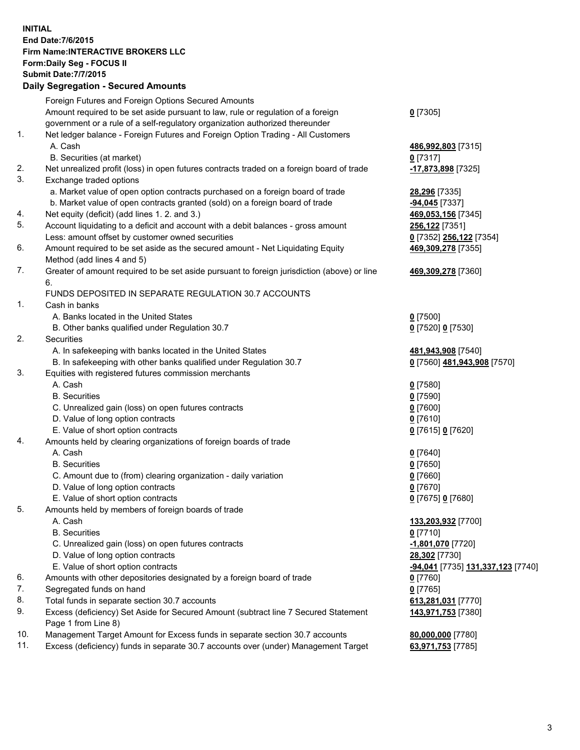**INITIAL End Date:7/6/2015 Firm Name:INTERACTIVE BROKERS LLC Form:Daily Seg - FOCUS II Submit Date:7/7/2015 Daily Segregation - Secured Amounts**

## Foreign Futures and Foreign Options Secured Amounts Amount required to be set aside pursuant to law, rule or regulation of a foreign government or a rule of a self-regulatory organization authorized thereunder **0** [7305] 1. Net ledger balance - Foreign Futures and Foreign Option Trading - All Customers A. Cash **486,992,803** [7315] B. Securities (at market) **0** [7317] 2. Net unrealized profit (loss) in open futures contracts traded on a foreign board of trade **-17,873,898** [7325] 3. Exchange traded options a. Market value of open option contracts purchased on a foreign board of trade **28,296** [7335] b. Market value of open contracts granted (sold) on a foreign board of trade **-94,045** [7337] 4. Net equity (deficit) (add lines 1. 2. and 3.) **469,053,156** [7345] 5. Account liquidating to a deficit and account with a debit balances - gross amount **256,122** [7351] Less: amount offset by customer owned securities **0** [7352] **256,122** [7354] 6. Amount required to be set aside as the secured amount - Net Liquidating Equity Method (add lines 4 and 5) **469,309,278** [7355] 7. Greater of amount required to be set aside pursuant to foreign jurisdiction (above) or line 6. **469,309,278** [7360] FUNDS DEPOSITED IN SEPARATE REGULATION 30.7 ACCOUNTS 1. Cash in banks A. Banks located in the United States **0** [7500] B. Other banks qualified under Regulation 30.7 **0** [7520] **0** [7530] 2. Securities A. In safekeeping with banks located in the United States **481,943,908** [7540] B. In safekeeping with other banks qualified under Regulation 30.7 **0** [7560] **481,943,908** [7570] 3. Equities with registered futures commission merchants A. Cash **0** [7580] B. Securities **0** [7590] C. Unrealized gain (loss) on open futures contracts **0** [7600] D. Value of long option contracts **0** [7610] E. Value of short option contracts **0** [7615] **0** [7620] 4. Amounts held by clearing organizations of foreign boards of trade A. Cash **0** [7640] B. Securities **0** [7650] C. Amount due to (from) clearing organization - daily variation **0** [7660] D. Value of long option contracts **0** [7670] E. Value of short option contracts **0** [7675] **0** [7680] 5. Amounts held by members of foreign boards of trade A. Cash **133,203,932** [7700] B. Securities **0** [7710] C. Unrealized gain (loss) on open futures contracts **-1,801,070** [7720] D. Value of long option contracts **28,302** [7730] E. Value of short option contracts **-94,041** [7735] **131,337,123** [7740] 6. Amounts with other depositories designated by a foreign board of trade **0** [7760] 7. Segregated funds on hand **0** [7765] 8. Total funds in separate section 30.7 accounts **613,281,031** [7770] 9. Excess (deficiency) Set Aside for Secured Amount (subtract line 7 Secured Statement Page 1 from Line 8) **143,971,753** [7380] 10. Management Target Amount for Excess funds in separate section 30.7 accounts **80,000,000** [7780] 11. Excess (deficiency) funds in separate 30.7 accounts over (under) Management Target **63,971,753** [7785]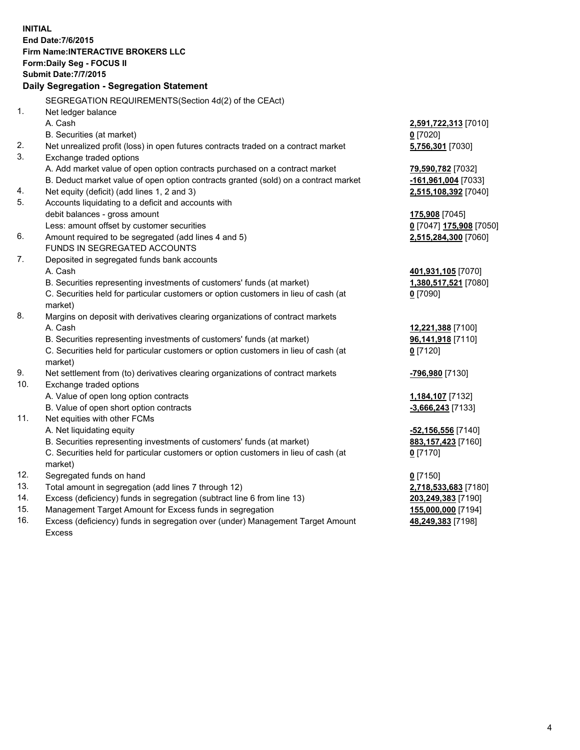**INITIAL End Date:7/6/2015 Firm Name:INTERACTIVE BROKERS LLC Form:Daily Seg - FOCUS II Submit Date:7/7/2015 Daily Segregation - Segregation Statement** SEGREGATION REQUIREMENTS(Section 4d(2) of the CEAct) 1. Net ledger balance A. Cash **2,591,722,313** [7010] B. Securities (at market) **0** [7020] 2. Net unrealized profit (loss) in open futures contracts traded on a contract market **5,756,301** [7030] 3. Exchange traded options A. Add market value of open option contracts purchased on a contract market **79,590,782** [7032] B. Deduct market value of open option contracts granted (sold) on a contract market **-161,961,004** [7033] 4. Net equity (deficit) (add lines 1, 2 and 3) **2,515,108,392** [7040] 5. Accounts liquidating to a deficit and accounts with debit balances - gross amount **175,908** [7045] Less: amount offset by customer securities **0** [7047] **175,908** [7050] 6. Amount required to be segregated (add lines 4 and 5) **2,515,284,300** [7060] FUNDS IN SEGREGATED ACCOUNTS 7. Deposited in segregated funds bank accounts A. Cash **401,931,105** [7070] B. Securities representing investments of customers' funds (at market) **1,380,517,521** [7080] C. Securities held for particular customers or option customers in lieu of cash (at market) **0** [7090] 8. Margins on deposit with derivatives clearing organizations of contract markets A. Cash **12,221,388** [7100] B. Securities representing investments of customers' funds (at market) **96,141,918** [7110] C. Securities held for particular customers or option customers in lieu of cash (at market) **0** [7120] 9. Net settlement from (to) derivatives clearing organizations of contract markets **-796,980** [7130] 10. Exchange traded options A. Value of open long option contracts **1,184,107** [7132] B. Value of open short option contracts **-3,666,243** [7133] 11. Net equities with other FCMs A. Net liquidating equity **-52,156,556** [7140] B. Securities representing investments of customers' funds (at market) **883,157,423** [7160] C. Securities held for particular customers or option customers in lieu of cash (at market) **0** [7170] 12. Segregated funds on hand **0** [7150] 13. Total amount in segregation (add lines 7 through 12) **2,718,533,683** [7180] 14. Excess (deficiency) funds in segregation (subtract line 6 from line 13) **203,249,383** [7190] 15. Management Target Amount for Excess funds in segregation **155,000,000** [7194]

16. Excess (deficiency) funds in segregation over (under) Management Target Amount Excess

**48,249,383** [7198]